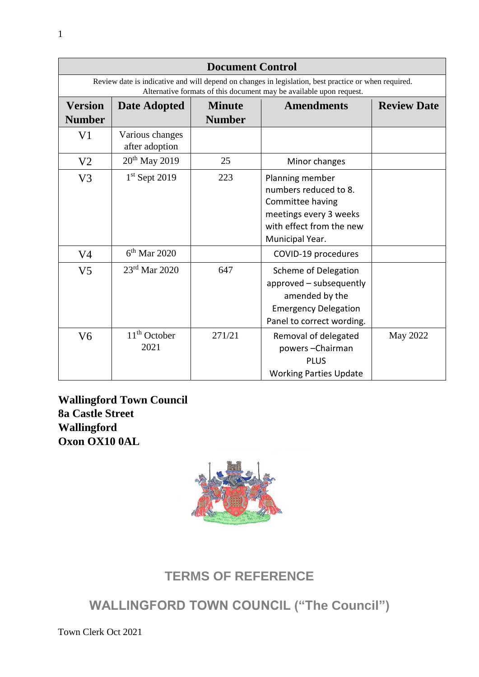| <b>Document Control</b>                                                                                                                                                     |                                   |                                |                                                                                                                                       |                    |
|-----------------------------------------------------------------------------------------------------------------------------------------------------------------------------|-----------------------------------|--------------------------------|---------------------------------------------------------------------------------------------------------------------------------------|--------------------|
| Review date is indicative and will depend on changes in legislation, best practice or when required.<br>Alternative formats of this document may be available upon request. |                                   |                                |                                                                                                                                       |                    |
| <b>Version</b><br><b>Number</b>                                                                                                                                             | <b>Date Adopted</b>               | <b>Minute</b><br><b>Number</b> | <b>Amendments</b>                                                                                                                     | <b>Review Date</b> |
| V <sub>1</sub>                                                                                                                                                              | Various changes<br>after adoption |                                |                                                                                                                                       |                    |
| V <sub>2</sub>                                                                                                                                                              | $20th$ May 2019                   | 25                             | Minor changes                                                                                                                         |                    |
| V <sub>3</sub>                                                                                                                                                              | $1st$ Sept 2019                   | 223                            | Planning member<br>numbers reduced to 8.<br>Committee having<br>meetings every 3 weeks<br>with effect from the new<br>Municipal Year. |                    |
| V <sub>4</sub>                                                                                                                                                              | $6th$ Mar 2020                    |                                | COVID-19 procedures                                                                                                                   |                    |
| V <sub>5</sub>                                                                                                                                                              | $23rd$ Mar 2020                   | 647                            | Scheme of Delegation<br>approved - subsequently<br>amended by the<br><b>Emergency Delegation</b><br>Panel to correct wording.         |                    |
| V <sub>6</sub>                                                                                                                                                              | $11th$ October<br>2021            | 271/21                         | Removal of delegated<br>powers-Chairman<br><b>PLUS</b><br><b>Working Parties Update</b>                                               | May 2022           |

**Wallingford Town Council 8a Castle Street Wallingford Oxon OX10 0AL**



# **TERMS OF REFERENCE**

# **WALLINGFORD TOWN COUNCIL ("The Council")**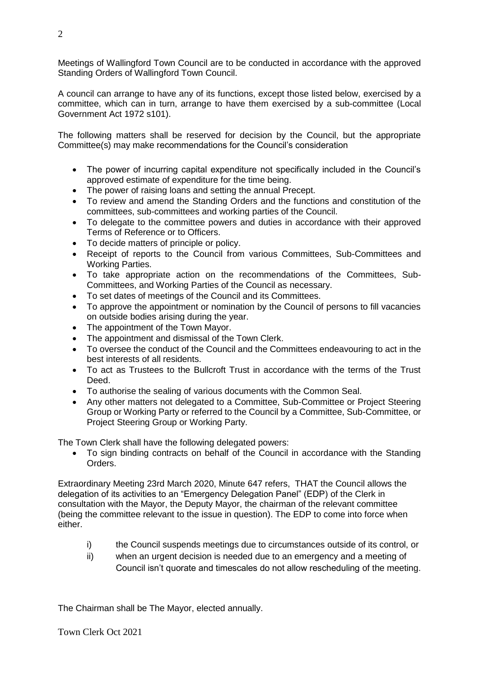Meetings of Wallingford Town Council are to be conducted in accordance with the approved Standing Orders of Wallingford Town Council.

A council can arrange to have any of its functions, except those listed below, exercised by a committee, which can in turn, arrange to have them exercised by a sub-committee (Local Government Act 1972 s101).

The following matters shall be reserved for decision by the Council, but the appropriate Committee(s) may make recommendations for the Council's consideration

- The power of incurring capital expenditure not specifically included in the Council's approved estimate of expenditure for the time being.
- The power of raising loans and setting the annual Precept.
- To review and amend the Standing Orders and the functions and constitution of the committees, sub-committees and working parties of the Council.
- To delegate to the committee powers and duties in accordance with their approved Terms of Reference or to Officers.
- To decide matters of principle or policy.
- Receipt of reports to the Council from various Committees, Sub-Committees and Working Parties.
- To take appropriate action on the recommendations of the Committees, Sub-Committees, and Working Parties of the Council as necessary.
- To set dates of meetings of the Council and its Committees.
- To approve the appointment or nomination by the Council of persons to fill vacancies on outside bodies arising during the year.
- The appointment of the Town Mayor.
- The appointment and dismissal of the Town Clerk.
- To oversee the conduct of the Council and the Committees endeavouring to act in the best interests of all residents.
- To act as Trustees to the Bullcroft Trust in accordance with the terms of the Trust Deed.
- To authorise the sealing of various documents with the Common Seal.
- Any other matters not delegated to a Committee, Sub-Committee or Project Steering Group or Working Party or referred to the Council by a Committee, Sub-Committee, or Project Steering Group or Working Party.

The Town Clerk shall have the following delegated powers:

• To sign binding contracts on behalf of the Council in accordance with the Standing Orders.

Extraordinary Meeting 23rd March 2020, Minute 647 refers, THAT the Council allows the delegation of its activities to an "Emergency Delegation Panel" (EDP) of the Clerk in consultation with the Mayor, the Deputy Mayor, the chairman of the relevant committee (being the committee relevant to the issue in question). The EDP to come into force when either.

- i) the Council suspends meetings due to circumstances outside of its control, or
- ii) when an urgent decision is needed due to an emergency and a meeting of Council isn't quorate and timescales do not allow rescheduling of the meeting.

The Chairman shall be The Mayor, elected annually.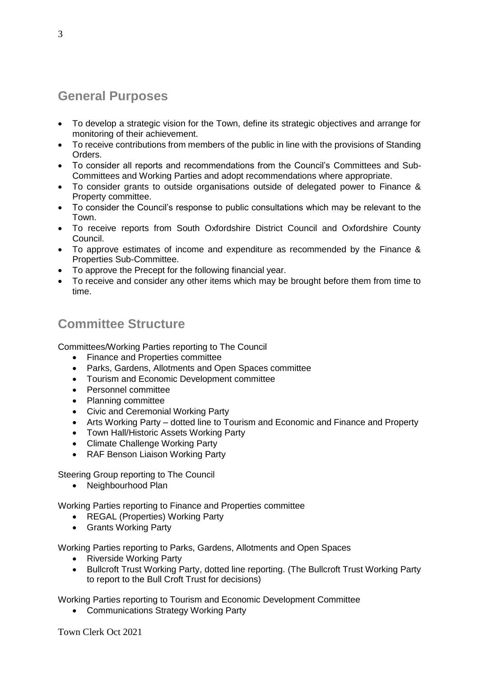# **General Purposes**

- To develop a strategic vision for the Town, define its strategic objectives and arrange for monitoring of their achievement.
- To receive contributions from members of the public in line with the provisions of Standing Orders.
- To consider all reports and recommendations from the Council's Committees and Sub-Committees and Working Parties and adopt recommendations where appropriate.
- To consider grants to outside organisations outside of delegated power to Finance & Property committee.
- To consider the Council's response to public consultations which may be relevant to the Town.
- To receive reports from South Oxfordshire District Council and Oxfordshire County Council.
- To approve estimates of income and expenditure as recommended by the Finance & Properties Sub-Committee.
- To approve the Precept for the following financial year.
- To receive and consider any other items which may be brought before them from time to time.

# **Committee Structure**

Committees/Working Parties reporting to The Council

- Finance and Properties committee
- Parks, Gardens, Allotments and Open Spaces committee
- Tourism and Economic Development committee
- Personnel committee
- Planning committee
- Civic and Ceremonial Working Party
- Arts Working Party dotted line to Tourism and Economic and Finance and Property
- Town Hall/Historic Assets Working Party
- Climate Challenge Working Party
- RAF Benson Liaison Working Party

Steering Group reporting to The Council

• Neighbourhood Plan

Working Parties reporting to Finance and Properties committee

- REGAL (Properties) Working Party
- Grants Working Party

Working Parties reporting to Parks, Gardens, Allotments and Open Spaces

- Riverside Working Party
- Bullcroft Trust Working Party, dotted line reporting. (The Bullcroft Trust Working Party to report to the Bull Croft Trust for decisions)

Working Parties reporting to Tourism and Economic Development Committee

Communications Strategy Working Party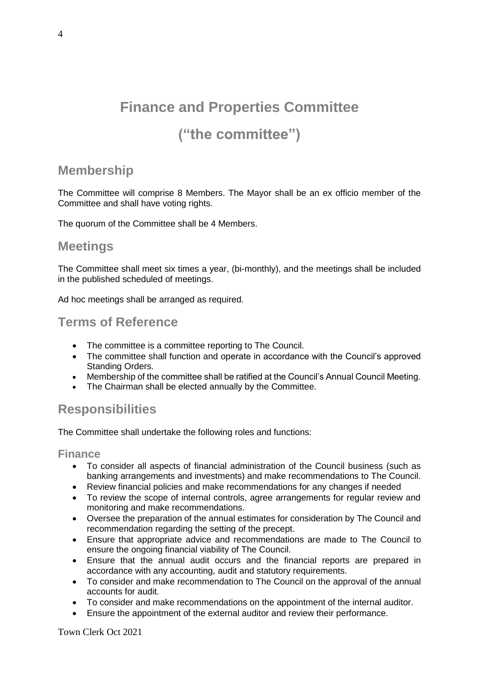# **Finance and Properties Committee ("the committee")**

# **Membership**

The Committee will comprise 8 Members. The Mayor shall be an ex officio member of the Committee and shall have voting rights.

The quorum of the Committee shall be 4 Members.

### **Meetings**

The Committee shall meet six times a year, (bi-monthly), and the meetings shall be included in the published scheduled of meetings.

Ad hoc meetings shall be arranged as required.

### **Terms of Reference**

- The committee is a committee reporting to The Council.
- The committee shall function and operate in accordance with the Council's approved Standing Orders.
- Membership of the committee shall be ratified at the Council's Annual Council Meeting.
- The Chairman shall be elected annually by the Committee.

# **Responsibilities**

The Committee shall undertake the following roles and functions:

#### **Finance**

- To consider all aspects of financial administration of the Council business (such as banking arrangements and investments) and make recommendations to The Council.
- Review financial policies and make recommendations for any changes if needed
- To review the scope of internal controls, agree arrangements for regular review and monitoring and make recommendations.
- Oversee the preparation of the annual estimates for consideration by The Council and recommendation regarding the setting of the precept.
- Ensure that appropriate advice and recommendations are made to The Council to ensure the ongoing financial viability of The Council.
- Ensure that the annual audit occurs and the financial reports are prepared in accordance with any accounting, audit and statutory requirements.
- To consider and make recommendation to The Council on the approval of the annual accounts for audit.
- To consider and make recommendations on the appointment of the internal auditor.
- Ensure the appointment of the external auditor and review their performance.

Town Clerk Oct 2021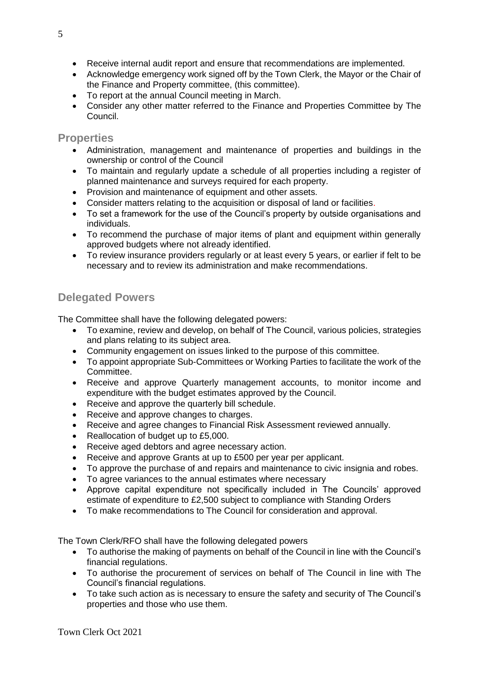- Receive internal audit report and ensure that recommendations are implemented.
- Acknowledge emergency work signed off by the Town Clerk, the Mayor or the Chair of the Finance and Property committee, (this committee).
- To report at the annual Council meeting in March.
- Consider any other matter referred to the Finance and Properties Committee by The Council.

#### **Properties**

- Administration, management and maintenance of properties and buildings in the ownership or control of the Council
- To maintain and regularly update a schedule of all properties including a register of planned maintenance and surveys required for each property.
- Provision and maintenance of equipment and other assets.
- Consider matters relating to the acquisition or disposal of land or facilities.
- To set a framework for the use of the Council's property by outside organisations and individuals.
- To recommend the purchase of maior items of plant and equipment within generally approved budgets where not already identified.
- To review insurance providers regularly or at least every 5 years, or earlier if felt to be necessary and to review its administration and make recommendations.

## **Delegated Powers**

The Committee shall have the following delegated powers:

- To examine, review and develop, on behalf of The Council, various policies, strategies and plans relating to its subject area.
- Community engagement on issues linked to the purpose of this committee.
- To appoint appropriate Sub-Committees or Working Parties to facilitate the work of the Committee.
- Receive and approve Quarterly management accounts, to monitor income and expenditure with the budget estimates approved by the Council.
- Receive and approve the quarterly bill schedule.
- Receive and approve changes to charges.
- Receive and agree changes to Financial Risk Assessment reviewed annually.
- Reallocation of budget up to £5,000.
- Receive aged debtors and agree necessary action.
- Receive and approve Grants at up to £500 per year per applicant.
- To approve the purchase of and repairs and maintenance to civic insignia and robes.
- To agree variances to the annual estimates where necessary
- Approve capital expenditure not specifically included in The Councils' approved estimate of expenditure to £2,500 subject to compliance with Standing Orders
- To make recommendations to The Council for consideration and approval.

The Town Clerk/RFO shall have the following delegated powers

- To authorise the making of payments on behalf of the Council in line with the Council's financial regulations.
- To authorise the procurement of services on behalf of The Council in line with The Council's financial regulations.
- To take such action as is necessary to ensure the safety and security of The Council's properties and those who use them.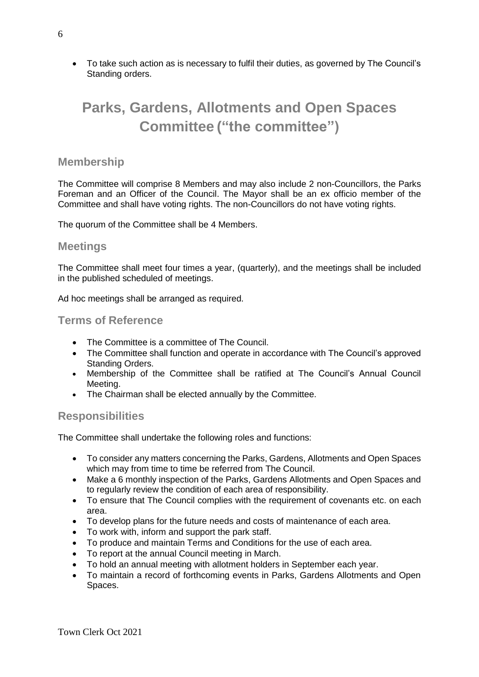To take such action as is necessary to fulfil their duties, as governed by The Council's Standing orders.

# **Parks, Gardens, Allotments and Open Spaces Committee ("the committee")**

#### **Membership**

The Committee will comprise 8 Members and may also include 2 non-Councillors, the Parks Foreman and an Officer of the Council. The Mayor shall be an ex officio member of the Committee and shall have voting rights. The non-Councillors do not have voting rights.

The quorum of the Committee shall be 4 Members.

#### **Meetings**

The Committee shall meet four times a year, (quarterly), and the meetings shall be included in the published scheduled of meetings.

Ad hoc meetings shall be arranged as required.

#### **Terms of Reference**

- The Committee is a committee of The Council.
- The Committee shall function and operate in accordance with The Council's approved Standing Orders.
- Membership of the Committee shall be ratified at The Council's Annual Council Meeting.
- The Chairman shall be elected annually by the Committee.

### **Responsibilities**

The Committee shall undertake the following roles and functions:

- To consider any matters concerning the Parks, Gardens, Allotments and Open Spaces which may from time to time be referred from The Council.
- Make a 6 monthly inspection of the Parks, Gardens Allotments and Open Spaces and to regularly review the condition of each area of responsibility.
- To ensure that The Council complies with the requirement of covenants etc. on each area.
- To develop plans for the future needs and costs of maintenance of each area.
- To work with, inform and support the park staff.
- To produce and maintain Terms and Conditions for the use of each area.
- To report at the annual Council meeting in March.
- To hold an annual meeting with allotment holders in September each year.
- To maintain a record of forthcoming events in Parks, Gardens Allotments and Open Spaces.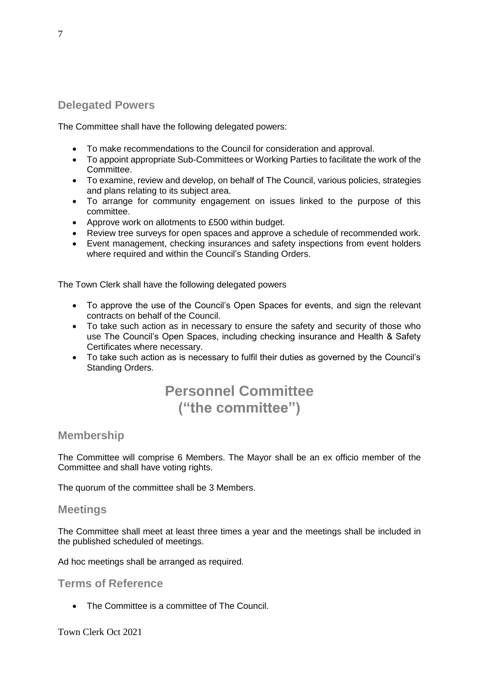### **Delegated Powers**

The Committee shall have the following delegated powers:

- To make recommendations to the Council for consideration and approval.
- To appoint appropriate Sub-Committees or Working Parties to facilitate the work of the Committee.
- To examine, review and develop, on behalf of The Council, various policies, strategies and plans relating to its subject area.
- To arrange for community engagement on issues linked to the purpose of this committee.
- Approve work on allotments to £500 within budget.
- Review tree surveys for open spaces and approve a schedule of recommended work.
- Event management, checking insurances and safety inspections from event holders where required and within the Council's Standing Orders.

The Town Clerk shall have the following delegated powers

- To approve the use of the Council's Open Spaces for events, and sign the relevant contracts on behalf of the Council.
- To take such action as in necessary to ensure the safety and security of those who use The Council's Open Spaces, including checking insurance and Health & Safety Certificates where necessary.
- To take such action as is necessary to fulfil their duties as governed by the Council's Standing Orders.

# **Personnel Committee ("the committee")**

#### **Membership**

The Committee will comprise 6 Members. The Mayor shall be an ex officio member of the Committee and shall have voting rights.

The quorum of the committee shall be 3 Members.

#### **Meetings**

The Committee shall meet at least three times a year and the meetings shall be included in the published scheduled of meetings.

Ad hoc meetings shall be arranged as required.

**Terms of Reference**

• The Committee is a committee of The Council.

Town Clerk Oct 2021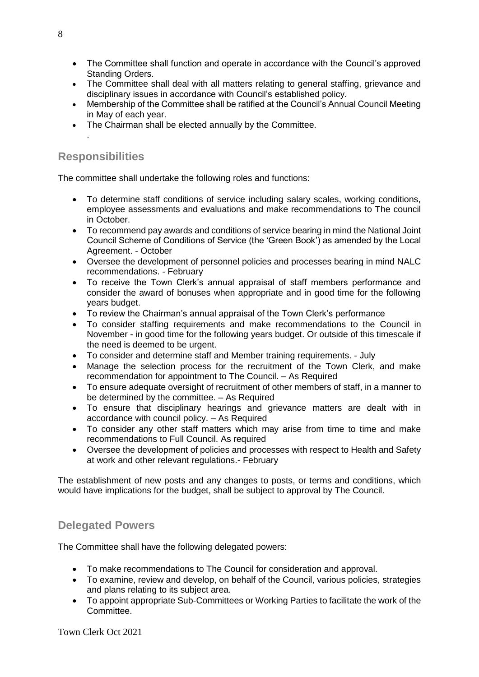- The Committee shall function and operate in accordance with the Council's approved Standing Orders.
- The Committee shall deal with all matters relating to general staffing, grievance and disciplinary issues in accordance with Council's established policy.
- Membership of the Committee shall be ratified at the Council's Annual Council Meeting in May of each year.
- The Chairman shall be elected annually by the Committee.

### **Responsibilities**

.

The committee shall undertake the following roles and functions:

- To determine staff conditions of service including salary scales, working conditions, employee assessments and evaluations and make recommendations to The council in October.
- To recommend pay awards and conditions of service bearing in mind the National Joint Council Scheme of Conditions of Service (the 'Green Book') as amended by the Local Agreement. - October
- Oversee the development of personnel policies and processes bearing in mind NALC recommendations. - February
- To receive the Town Clerk's annual appraisal of staff members performance and consider the award of bonuses when appropriate and in good time for the following years budget.
- To review the Chairman's annual appraisal of the Town Clerk's performance
- To consider staffing requirements and make recommendations to the Council in November - in good time for the following years budget. Or outside of this timescale if the need is deemed to be urgent.
- To consider and determine staff and Member training requirements. July
- Manage the selection process for the recruitment of the Town Clerk, and make recommendation for appointment to The Council. – As Required
- To ensure adequate oversight of recruitment of other members of staff, in a manner to be determined by the committee. – As Required
- To ensure that disciplinary hearings and grievance matters are dealt with in accordance with council policy. – As Required
- To consider any other staff matters which may arise from time to time and make recommendations to Full Council. As required
- Oversee the development of policies and processes with respect to Health and Safety at work and other relevant regulations.- February

The establishment of new posts and any changes to posts, or terms and conditions, which would have implications for the budget, shall be subject to approval by The Council.

### **Delegated Powers**

The Committee shall have the following delegated powers:

- To make recommendations to The Council for consideration and approval.
- To examine, review and develop, on behalf of the Council, various policies, strategies and plans relating to its subject area.
- To appoint appropriate Sub-Committees or Working Parties to facilitate the work of the Committee.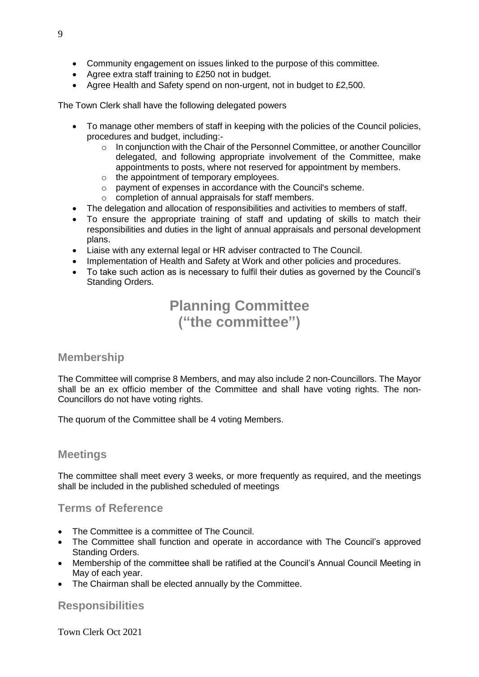- Community engagement on issues linked to the purpose of this committee.
- Agree extra staff training to £250 not in budget.
- Agree Health and Safety spend on non-urgent, not in budget to £2,500.

The Town Clerk shall have the following delegated powers

- To manage other members of staff in keeping with the policies of the Council policies, procedures and budget, including:-
	- $\circ$  In conjunction with the Chair of the Personnel Committee, or another Councillor delegated, and following appropriate involvement of the Committee, make appointments to posts, where not reserved for appointment by members.
	- o the appointment of temporary employees.
	- o payment of expenses in accordance with the Council's scheme.
	- o completion of annual appraisals for staff members.
- The delegation and allocation of responsibilities and activities to members of staff.
- To ensure the appropriate training of staff and updating of skills to match their responsibilities and duties in the light of annual appraisals and personal development plans.
- Liaise with any external legal or HR adviser contracted to The Council.
- Implementation of Health and Safety at Work and other policies and procedures.
- To take such action as is necessary to fulfil their duties as governed by the Council's Standing Orders.

# **Planning Committee ("the committee")**

#### **Membership**

The Committee will comprise 8 Members, and may also include 2 non-Councillors. The Mayor shall be an ex officio member of the Committee and shall have voting rights. The non-Councillors do not have voting rights.

The quorum of the Committee shall be 4 voting Members.

### **Meetings**

The committee shall meet every 3 weeks, or more frequently as required, and the meetings shall be included in the published scheduled of meetings

### **Terms of Reference**

- The Committee is a committee of The Council.
- The Committee shall function and operate in accordance with The Council's approved Standing Orders.
- Membership of the committee shall be ratified at the Council's Annual Council Meeting in May of each year.
- The Chairman shall be elected annually by the Committee.

### **Responsibilities**

Town Clerk Oct 2021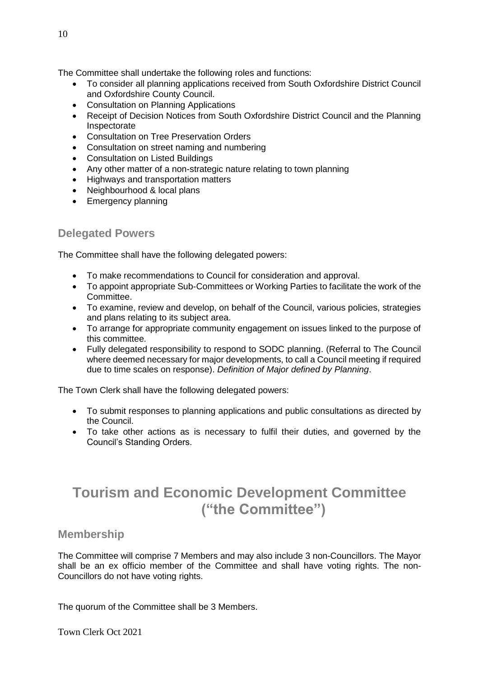The Committee shall undertake the following roles and functions:

- To consider all planning applications received from South Oxfordshire District Council and Oxfordshire County Council.
- Consultation on Planning Applications
- Receipt of Decision Notices from South Oxfordshire District Council and the Planning Inspectorate
- Consultation on Tree Preservation Orders
- Consultation on street naming and numbering
- Consultation on Listed Buildings
- Any other matter of a non-strategic nature relating to town planning
- Highways and transportation matters
- Neighbourhood & local plans
- Emergency planning

## **Delegated Powers**

The Committee shall have the following delegated powers:

- To make recommendations to Council for consideration and approval.
- To appoint appropriate Sub-Committees or Working Parties to facilitate the work of the Committee.
- To examine, review and develop, on behalf of the Council, various policies, strategies and plans relating to its subject area.
- To arrange for appropriate community engagement on issues linked to the purpose of this committee.
- Fully delegated responsibility to respond to SODC planning. (Referral to The Council where deemed necessary for major developments, to call a Council meeting if required due to time scales on response). *Definition of Major defined by Planning*.

The Town Clerk shall have the following delegated powers:

- To submit responses to planning applications and public consultations as directed by the Council.
- To take other actions as is necessary to fulfil their duties, and governed by the Council's Standing Orders.

# **Tourism and Economic Development Committee ("the Committee")**

### **Membership**

The Committee will comprise 7 Members and may also include 3 non-Councillors. The Mayor shall be an ex officio member of the Committee and shall have voting rights. The non-Councillors do not have voting rights.

The quorum of the Committee shall be 3 Members.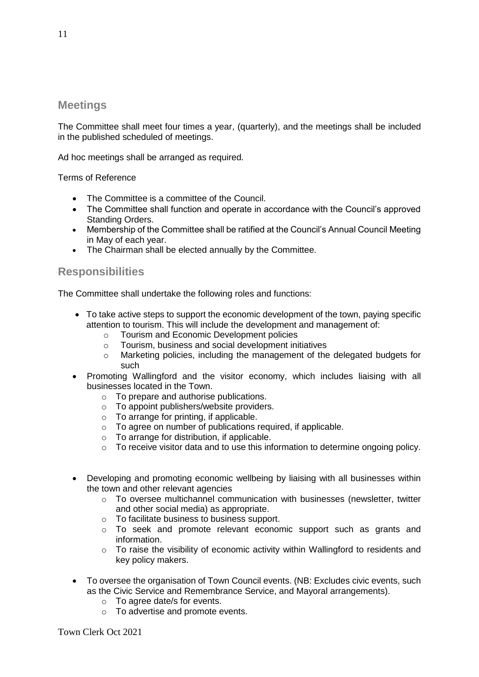### **Meetings**

The Committee shall meet four times a year, (quarterly), and the meetings shall be included in the published scheduled of meetings.

Ad hoc meetings shall be arranged as required.

Terms of Reference

- The Committee is a committee of the Council.
- The Committee shall function and operate in accordance with the Council's approved Standing Orders.
- Membership of the Committee shall be ratified at the Council's Annual Council Meeting in May of each year.
- The Chairman shall be elected annually by the Committee.

## **Responsibilities**

The Committee shall undertake the following roles and functions:

- To take active steps to support the economic development of the town, paying specific attention to tourism. This will include the development and management of:
	- o Tourism and Economic Development policies
	- o Tourism, business and social development initiatives
	- o Marketing policies, including the management of the delegated budgets for such
- Promoting Wallingford and the visitor economy, which includes liaising with all businesses located in the Town.
	- o To prepare and authorise publications.
	- o To appoint publishers/website providers.
	- $\circ$  To arrange for printing, if applicable.
	- $\circ$  To agree on number of publications required, if applicable.
	- $\circ$  To arrange for distribution, if applicable.
	- $\circ$  To receive visitor data and to use this information to determine ongoing policy.
- Developing and promoting economic wellbeing by liaising with all businesses within the town and other relevant agencies
	- o To oversee multichannel communication with businesses (newsletter, twitter and other social media) as appropriate.
	- o To facilitate business to business support.
	- o To seek and promote relevant economic support such as grants and information.
	- o To raise the visibility of economic activity within Wallingford to residents and key policy makers.
- To oversee the organisation of Town Council events. (NB: Excludes civic events, such as the Civic Service and Remembrance Service, and Mayoral arrangements).
	- o To agree date/s for events.
	- o To advertise and promote events.